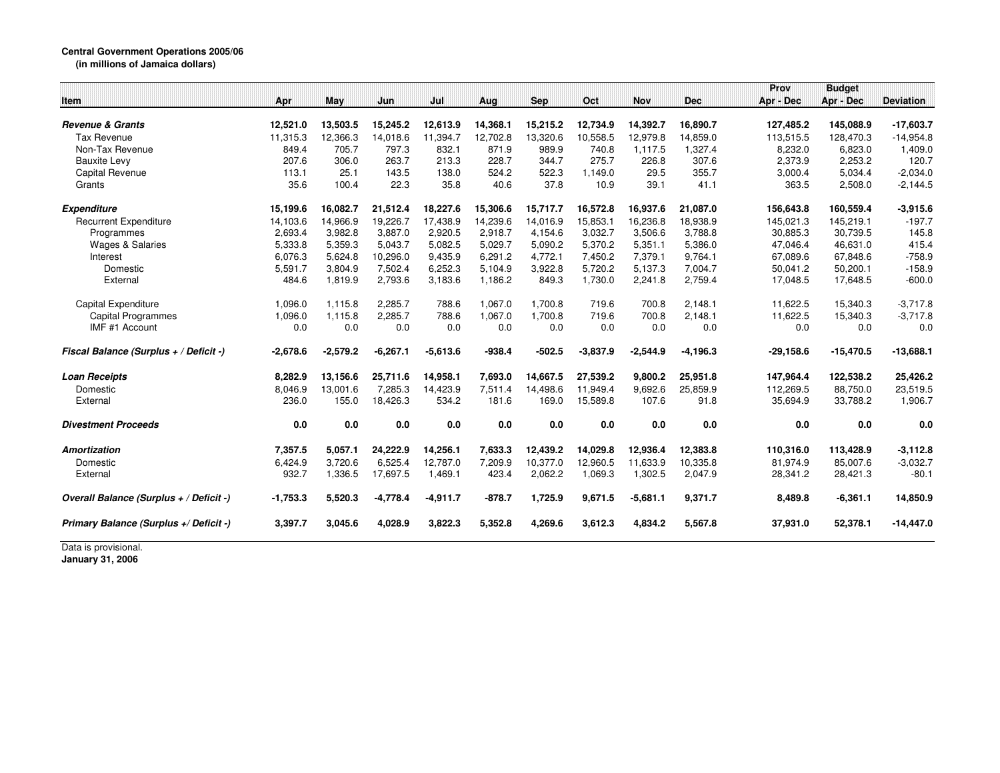## **Central Government Operations 2005/06**

**(in millions of Jamaica dollars)**

|                                         |            |            |            |            |          |            |            |            |             | Prov        | <b>Budget</b> |                  |
|-----------------------------------------|------------|------------|------------|------------|----------|------------|------------|------------|-------------|-------------|---------------|------------------|
| <b>Item</b>                             | Apr        | May        | Jun        | Jul        | Aug      | <b>Sep</b> | Oct        | <b>Nov</b> | <b>Dec</b>  | Apr - Dec   | Apr - Dec     | <b>Deviation</b> |
| <b>Revenue &amp; Grants</b>             | 12,521.0   | 13,503.5   | 15,245.2   | 12,613.9   | 14,368.1 | 15,215.2   | 12,734.9   | 14,392.7   | 16,890.7    | 127,485.2   | 145,088.9     | $-17,603.7$      |
| <b>Tax Revenue</b>                      | 11,315.3   | 12,366.3   | 14,018.6   | 11,394.7   | 12,702.8 | 13,320.6   | 10,558.5   | 12.979.8   | 14,859.0    | 113,515.5   | 128,470.3     | $-14,954.8$      |
| Non-Tax Revenue                         | 849.4      | 705.7      | 797.3      | 832.1      | 871.9    | 989.9      | 740.8      | 1.117.5    | 1.327.4     | 8.232.0     | 6.823.0       | 1,409.0          |
| <b>Bauxite Levy</b>                     | 207.6      | 306.0      | 263.7      | 213.3      | 228.7    | 344.7      | 275.7      | 226.8      | 307.6       | 2,373.9     | 2.253.2       | 120.7            |
| <b>Capital Revenue</b>                  | 113.1      | 25.1       | 143.5      | 138.0      | 524.2    | 522.3      | 1,149.0    | 29.5       | 355.7       | 3,000.4     | 5,034.4       | $-2,034.0$       |
| Grants                                  | 35.6       | 100.4      | 22.3       | 35.8       | 40.6     | 37.8       | 10.9       | 39.1       | 41.1        | 363.5       | 2,508.0       | $-2,144.5$       |
| <b>Expenditure</b>                      | 15,199.6   | 16,082.7   | 21,512.4   | 18,227.6   | 15,306.6 | 15,717.7   | 16,572.8   | 16,937.6   | 21,087.0    | 156,643.8   | 160,559.4     | $-3,915.6$       |
| <b>Recurrent Expenditure</b>            | 14,103.6   | 14,966.9   | 19,226.7   | 17,438.9   | 14,239.6 | 14,016.9   | 15,853.1   | 16,236.8   | 18,938.9    | 145,021.3   | 145,219.1     | $-197.7$         |
| Programmes                              | 2,693.4    | 3,982.8    | 3,887.0    | 2,920.5    | 2,918.7  | 4,154.6    | 3,032.7    | 3,506.6    | 3,788.8     | 30,885.3    | 30,739.5      | 145.8            |
| <b>Wages &amp; Salaries</b>             | 5,333.8    | 5,359.3    | 5,043.7    | 5,082.5    | 5,029.7  | 5,090.2    | 5,370.2    | 5,351.1    | 5,386.0     | 47,046.4    | 46,631.0      | 415.4            |
| Interest                                | 6,076.3    | 5.624.8    | 10.296.0   | 9,435.9    | 6.291.2  | 4.772.1    | 7.450.2    | 7.379.1    | 9,764.1     | 67.089.6    | 67.848.6      | $-758.9$         |
| Domestic                                | 5,591.7    | 3,804.9    | 7.502.4    | 6,252.3    | 5.104.9  | 3.922.8    | 5,720.2    | 5.137.3    | 7,004.7     | 50.041.2    | 50,200.1      | $-158.9$         |
| External                                | 484.6      | 1,819.9    | 2,793.6    | 3,183.6    | 1,186.2  | 849.3      | 1,730.0    | 2,241.8    | 2,759.4     | 17,048.5    | 17,648.5      | $-600.0$         |
|                                         |            |            |            |            |          |            |            |            |             |             |               |                  |
| Capital Expenditure                     | 1,096.0    | 1,115.8    | 2,285.7    | 788.6      | 1,067.0  | 1,700.8    | 719.6      | 700.8      | 2,148.1     | 11.622.5    | 15,340.3      | $-3,717.8$       |
| <b>Capital Programmes</b>               | 1,096.0    | 1,115.8    | 2,285.7    | 788.6      | 1,067.0  | 1,700.8    | 719.6      | 700.8      | 2,148.1     | 11,622.5    | 15,340.3      | $-3,717.8$       |
| IMF #1 Account                          | 0.0        | 0.0        | 0.0        | 0.0        | 0.0      | 0.0        | 0.0        | 0.0        | 0.0         | 0.0         | 0.0           | 0.0              |
| Fiscal Balance (Surplus + / Deficit -)  | $-2,678.6$ | $-2,579.2$ | $-6,267.1$ | $-5,613.6$ | $-938.4$ | $-502.5$   | $-3,837.9$ | $-2,544.9$ | $-4, 196.3$ | $-29,158.6$ | $-15,470.5$   | $-13,688.1$      |
| <b>Loan Receipts</b>                    | 8,282.9    | 13,156.6   | 25,711.6   | 14,958.1   | 7,693.0  | 14,667.5   | 27,539.2   | 9,800.2    | 25,951.8    | 147,964.4   | 122,538.2     | 25,426.2         |
| Domestic                                | 8,046.9    | 13,001.6   | 7,285.3    | 14,423.9   | 7,511.4  | 14,498.6   | 11,949.4   | 9,692.6    | 25,859.9    | 112,269.5   | 88,750.0      | 23,519.5         |
| External                                | 236.0      | 155.0      | 18,426.3   | 534.2      | 181.6    | 169.0      | 15,589.8   | 107.6      | 91.8        | 35,694.9    | 33,788.2      | 1,906.7          |
| <b>Divestment Proceeds</b>              | 0.0        | 0.0        | 0.0        | 0.0        | 0.0      | 0.0        | 0.0        | 0.0        | 0.0         | 0.0         | 0.0           | 0.0              |
| <b>Amortization</b>                     | 7,357.5    | 5,057.1    | 24,222.9   | 14,256.1   | 7,633.3  | 12,439.2   | 14,029.8   | 12,936.4   | 12,383.8    | 110,316.0   | 113,428.9     | $-3,112.8$       |
| Domestic                                | 6,424.9    | 3,720.6    | 6,525.4    | 12,787.0   | 7,209.9  | 10,377.0   | 12,960.5   | 11,633.9   | 10,335.8    | 81,974.9    | 85,007.6      | $-3,032.7$       |
| External                                | 932.7      | 1,336.5    | 17,697.5   | 1,469.1    | 423.4    | 2,062.2    | 1,069.3    | 1,302.5    | 2,047.9     | 28,341.2    | 28,421.3      | $-80.1$          |
| Overall Balance (Surplus + / Deficit -) | $-1,753.3$ | 5,520.3    | $-4,778.4$ | $-4,911.7$ | $-878.7$ | 1,725.9    | 9,671.5    | $-5,681.1$ | 9,371.7     | 8,489.8     | $-6,361.1$    | 14,850.9         |
| Primary Balance (Surplus +/ Deficit -)  | 3,397.7    | 3,045.6    | 4,028.9    | 3.822.3    | 5.352.8  | 4,269.6    | 3,612.3    | 4,834.2    | 5,567.8     | 37,931.0    | 52,378.1      | $-14,447.0$      |

Data is provisional. **January 31, 2006**